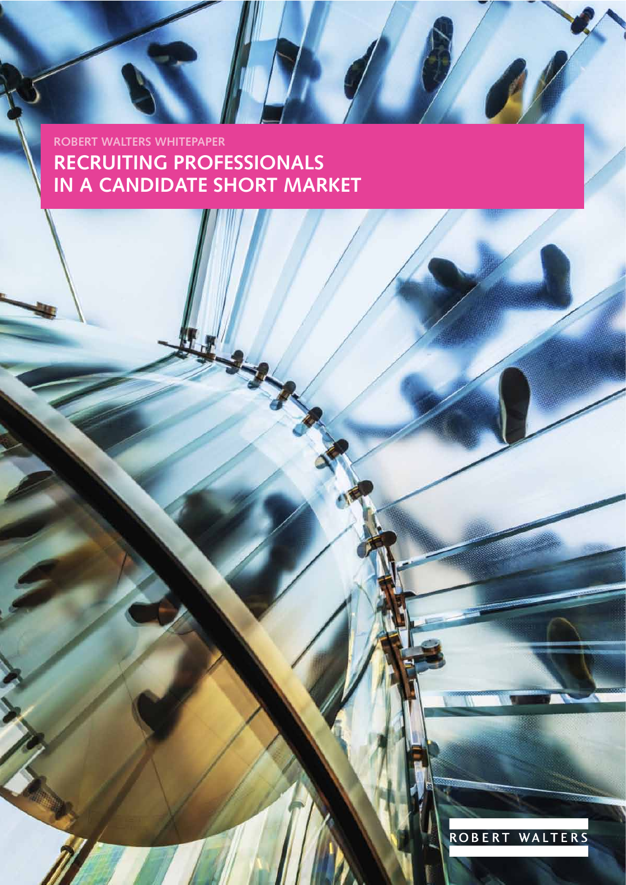**ROBERT WALTERS WHITEPAPER RECRUITING PROFESSIONALS IN A CANDIDATE SHORT MARKET**

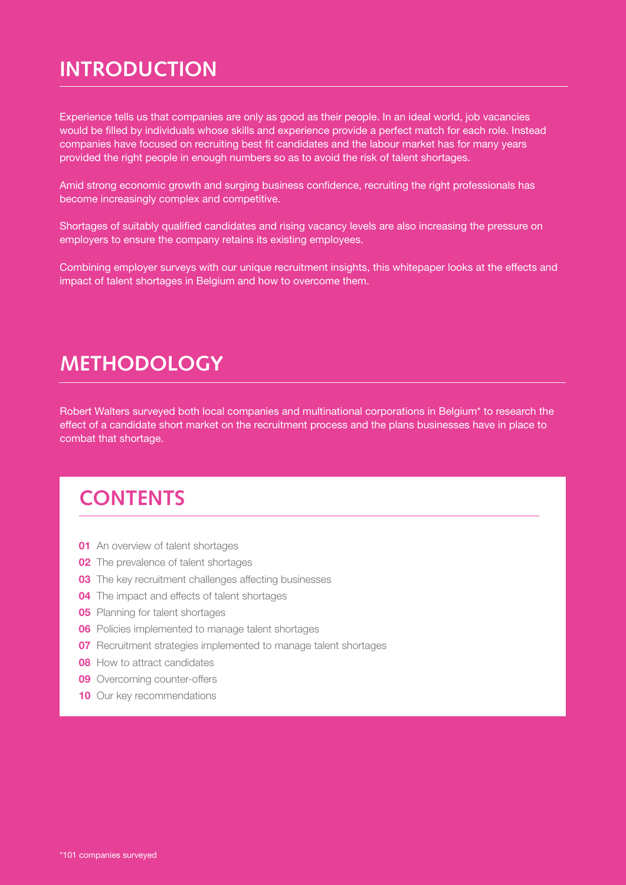## **INTRODUCTION**

Experience tells us that companies are only as good as their people. In an ideal world, job vacancies would be filled by individuals whose skills and experience provide a perfect match for each role. Instead companies have focused on recruiting best fit candidates and the labour market has for many years provided the right people in enough numbers so as to avoid the risk of talent shortages.

Amid strong economic growth and surging business confidence, recruiting the right professionals has become increasingly complex and competitive.

Shortages of suitably qualified candidates and rising vacancy levels are also increasing the pressure on employers to ensure the company retains its existing employees.

Combining employer surveys with our unique recruitment insights, this whitepaper looks at the effects and impact of talent shortages in Belgium and how to overcome them.

## **METHODOLOGY**

Robert Walters surveyed both local companies and multinational corporations in Belgium\* to research the effect of a candidate short market on the recruitment process and the plans businesses have in place to combat that shortage.

## **CONTENTS**

- **01** An overview of talent shortages
- **02** The prevalence of talent shortages
- **03** The key recruitment challenges affecting businesses
- **04** The impact and effects of talent shortages
- **05** Planning for talent shortages
- **06** Policies implemented to manage talent shortages
- **07** Recruitment strategies implemented to manage talent shortages
- **08** How to attract candidates
- **09** Overcoming counter-offers
- **10** Our key recommendations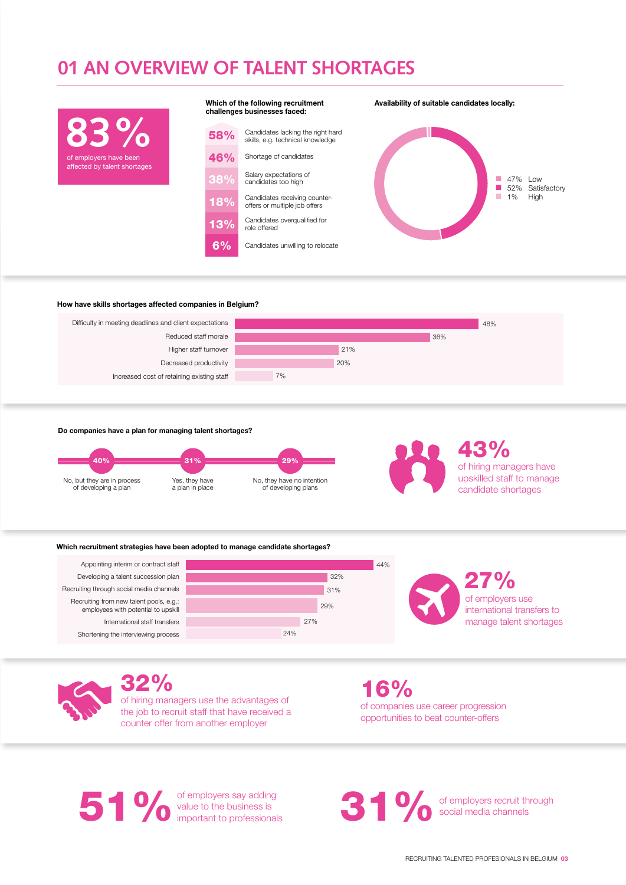## **01 AN OVERVIEW OF TALENT SHORTAGES**



#### **How have skills shortages affected companies in Belgium?**



#### **Do companies have a plan for managing talent shortages?**





#### **Which recruitment strategies have been adopted to manage candidate shortages?**

Appointing interim or contract staff Developing a talent succession plan Recruiting through social media channels Recruiting from new talent pools, e.g.: employees with potential to upskill International staff transfers Shortening the interviewing process



of employers use international transfers to manage talent shortages 27%



16% of companies use career progression opportunities to beat counter-offers

44%

of employers say adding value to the business is 51% of employers say adding<br>
S1% important to professionals<br>
S1%

of employers recruit through social media channels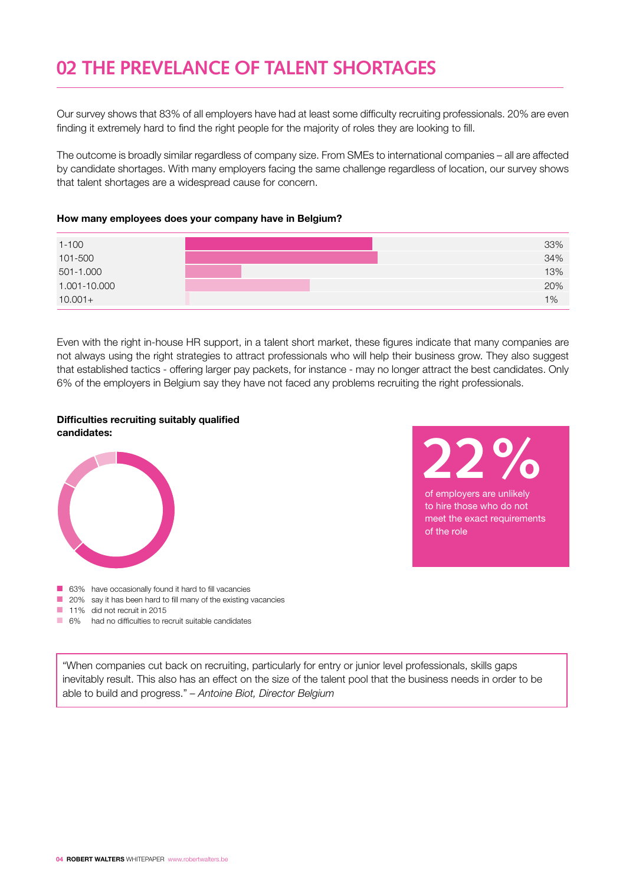## **02 THE PREVELANCE OF TALENT SHORTAGES**

Our survey shows that 83% of all employers have had at least some difficulty recruiting professionals. 20% are even finding it extremely hard to find the right people for the majority of roles they are looking to fill.

The outcome is broadly similar regardless of company size. From SMEs to international companies – all are affected by candidate shortages. With many employers facing the same challenge regardless of location, our survey shows that talent shortages are a widespread cause for concern.

#### **How many employees does your company have in Belgium?**

|                  |  | 33% |
|------------------|--|-----|
| 1-100<br>101-500 |  | 34% |
| 501-1.000        |  | 13% |
| 1.001-10.000     |  | 20% |
| $10.001+$        |  | 1%  |

Even with the right in-house HR support, in a talent short market, these figures indicate that many companies are not always using the right strategies to attract professionals who will help their business grow. They also suggest that established tactics - offering larger pay packets, for instance - may no longer attract the best candidates. Only 6% of the employers in Belgium say they have not faced any problems recruiting the right professionals.

#### **Difficulties recruiting suitably qualified candidates:**





of employers are unlikely to hire those who do not meet the exact requirements of the role

- $\blacksquare$  63% have occasionally found it hard to fill vacancies
- **n** 20% say it has been hard to fill many of the existing vacancies
- 11% did not recruit in 2015
- n 6% had no difficulties to recruit suitable candidates

"When companies cut back on recruiting, particularly for entry or junior level professionals, skills gaps inevitably result. This also has an effect on the size of the talent pool that the business needs in order to be able to build and progress." *– Antoine Biot, Director Belgium*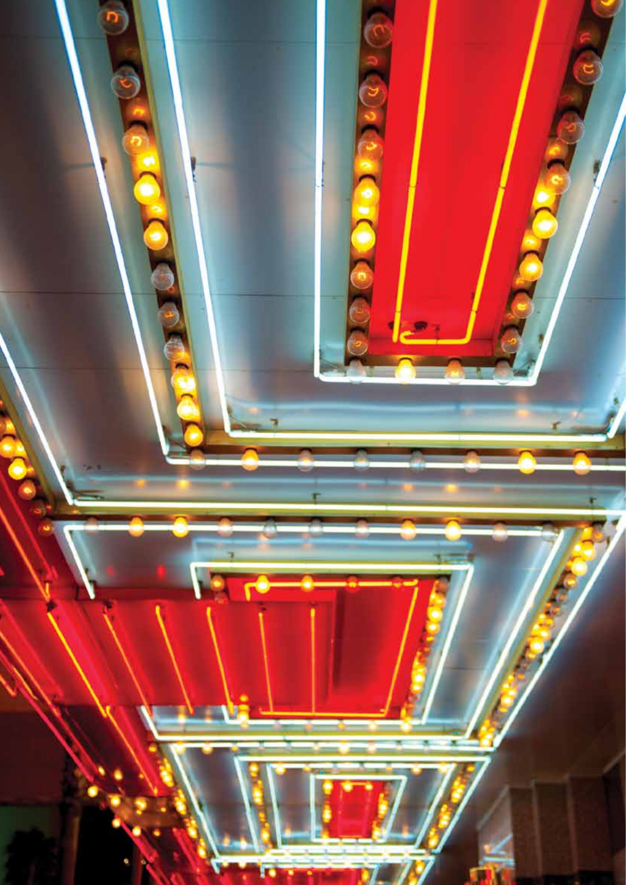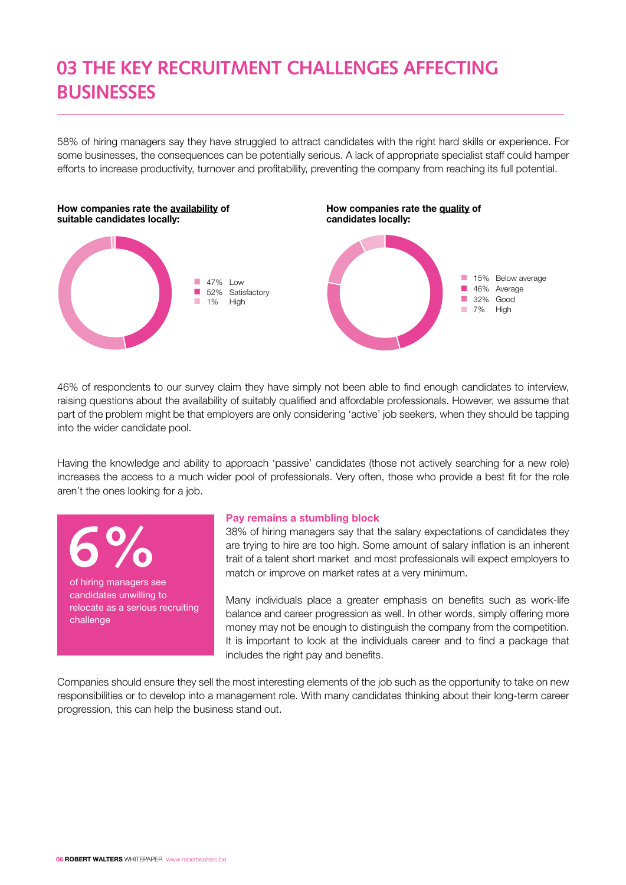## **03 THE KEY RECRUITMENT CHALLENGES AFFECTING BUSINESSES**

58% of hiring managers say they have struggled to attract candidates with the right hard skills or experience. For some businesses, the consequences can be potentially serious. A lack of appropriate specialist staff could hamper efforts to increase productivity, turnover and profitability, preventing the company from reaching its full potential.



46% of respondents to our survey claim they have simply not been able to find enough candidates to interview, raising questions about the availability of suitably qualified and affordable professionals. However, we assume that part of the problem might be that employers are only considering 'active' job seekers, when they should be tapping into the wider candidate pool.

Having the knowledge and ability to approach 'passive' candidates (those not actively searching for a new role) increases the access to a much wider pool of professionals. Very often, those who provide a best fit for the role aren't the ones looking for a job.

of hiring managers see candidates unwilling to relocate as a serious recruiting challenge **6%**

#### **Pay remains a stumbling block**

38% of hiring managers say that the salary expectations of candidates they are trying to hire are too high. Some amount of salary inflation is an inherent trait of a talent short market and most professionals will expect employers to match or improve on market rates at a very minimum.

Many individuals place a greater emphasis on benefits such as work-life balance and career progression as well. In other words, simply offering more money may not be enough to distinguish the company from the competition. It is important to look at the individuals career and to find a package that includes the right pay and benefits.

Companies should ensure they sell the most interesting elements of the job such as the opportunity to take on new responsibilities or to develop into a management role. With many candidates thinking about their long-term career progression, this can help the business stand out.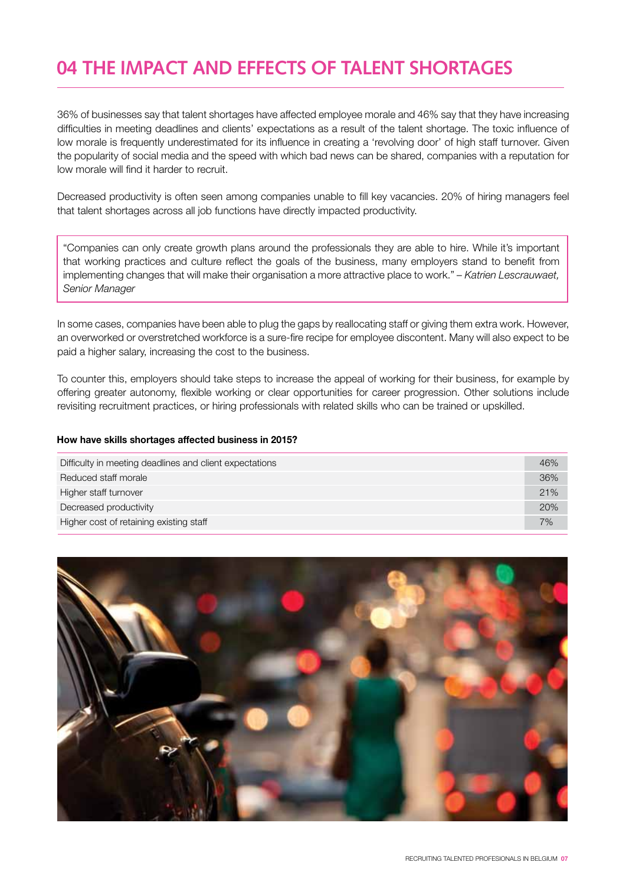## **04 THE IMPACT AND EFFECTS OF TALENT SHORTAGES**

36% of businesses say that talent shortages have affected employee morale and 46% say that they have increasing difficulties in meeting deadlines and clients' expectations as a result of the talent shortage. The toxic influence of low morale is frequently underestimated for its influence in creating a 'revolving door' of high staff turnover. Given the popularity of social media and the speed with which bad news can be shared, companies with a reputation for low morale will find it harder to recruit.

Decreased productivity is often seen among companies unable to fill key vacancies. 20% of hiring managers feel that talent shortages across all job functions have directly impacted productivity.

"Companies can only create growth plans around the professionals they are able to hire. While it's important that working practices and culture reflect the goals of the business, many employers stand to benefit from implementing changes that will make their organisation a more attractive place to work." *– Katrien Lescrauwaet, Senior Manager*

In some cases, companies have been able to plug the gaps by reallocating staff or giving them extra work. However, an overworked or overstretched workforce is a sure-fire recipe for employee discontent. Many will also expect to be paid a higher salary, increasing the cost to the business.

To counter this, employers should take steps to increase the appeal of working for their business, for example by offering greater autonomy, flexible working or clear opportunities for career progression. Other solutions include revisiting recruitment practices, or hiring professionals with related skills who can be trained or upskilled.

#### **How have skills shortages affected business in 2015?**

| Difficulty in meeting deadlines and client expectations |     |
|---------------------------------------------------------|-----|
| Reduced staff morale                                    | 36% |
| Higher staff turnover                                   | 21% |
| Decreased productivity                                  | 20% |
| Higher cost of retaining existing staff                 | 7%  |

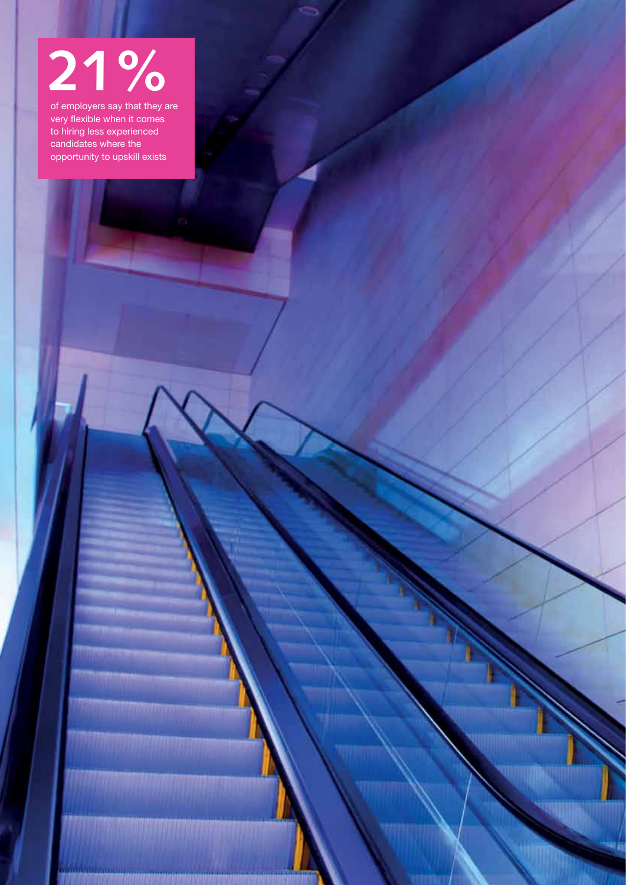## **21%**

of employers say that they are very flexible when it comes to hiring less experienced candidates where the opportunity to upskill exists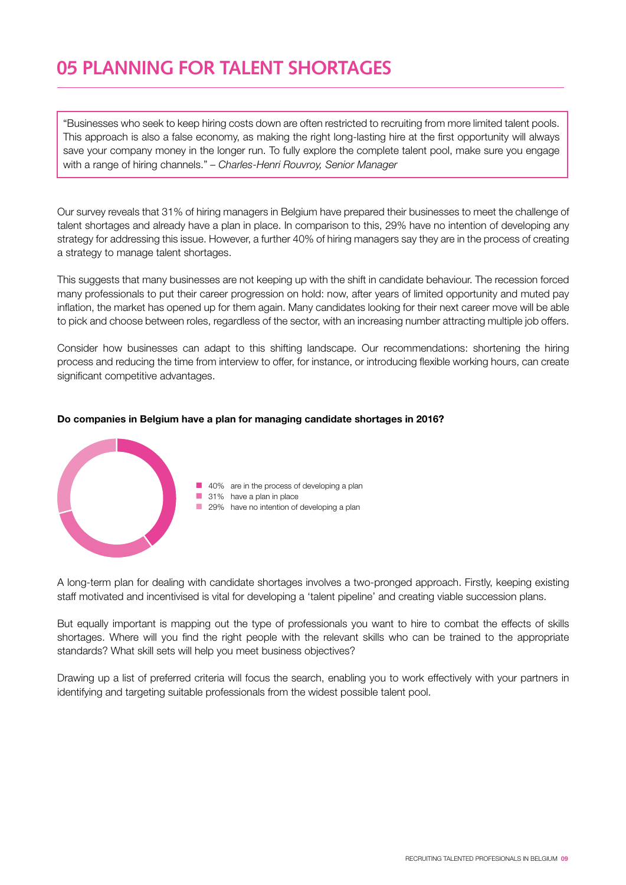## **05 PLANNING FOR TALENT SHORTAGES**

"Businesses who seek to keep hiring costs down are often restricted to recruiting from more limited talent pools. This approach is also a false economy, as making the right long-lasting hire at the first opportunity will always save your company money in the longer run. To fully explore the complete talent pool, make sure you engage with a range of hiring channels." *– Charles-Henri Rouvroy, Senior Manager*

Our survey reveals that 31% of hiring managers in Belgium have prepared their businesses to meet the challenge of talent shortages and already have a plan in place. In comparison to this, 29% have no intention of developing any strategy for addressing this issue. However, a further 40% of hiring managers say they are in the process of creating a strategy to manage talent shortages.

This suggests that many businesses are not keeping up with the shift in candidate behaviour. The recession forced many professionals to put their career progression on hold: now, after years of limited opportunity and muted pay inflation, the market has opened up for them again. Many candidates looking for their next career move will be able to pick and choose between roles, regardless of the sector, with an increasing number attracting multiple job offers.

Consider how businesses can adapt to this shifting landscape. Our recommendations: shortening the hiring process and reducing the time from interview to offer, for instance, or introducing flexible working hours, can create significant competitive advantages.



#### **Do companies in Belgium have a plan for managing candidate shortages in 2016?**

 $\blacksquare$  40% are in the process of developing a plan **1** 31% have a plan in place

**29%** have no intention of developing a plan

A long-term plan for dealing with candidate shortages involves a two-pronged approach. Firstly, keeping existing staff motivated and incentivised is vital for developing a 'talent pipeline' and creating viable succession plans.

But equally important is mapping out the type of professionals you want to hire to combat the effects of skills shortages. Where will you find the right people with the relevant skills who can be trained to the appropriate standards? What skill sets will help you meet business objectives?

Drawing up a list of preferred criteria will focus the search, enabling you to work effectively with your partners in identifying and targeting suitable professionals from the widest possible talent pool.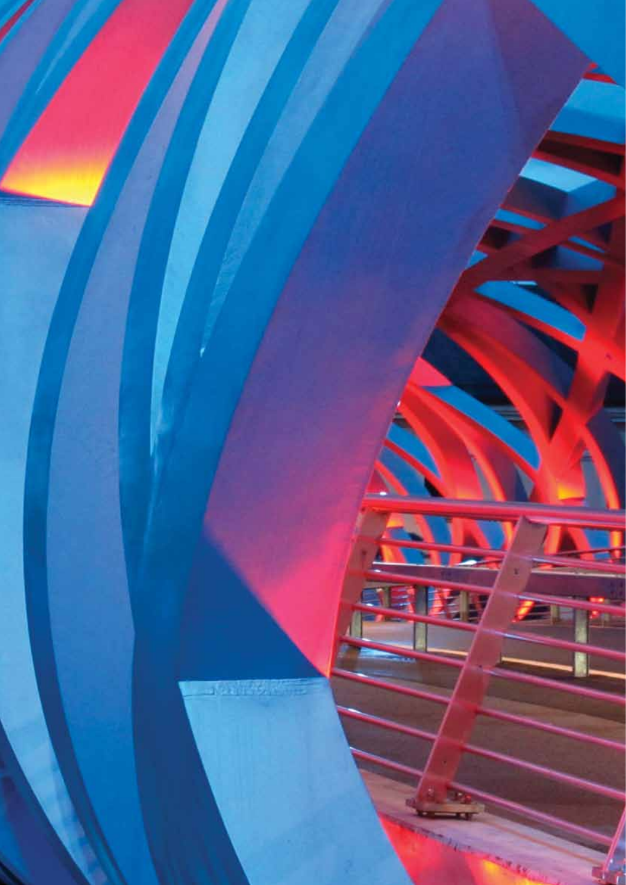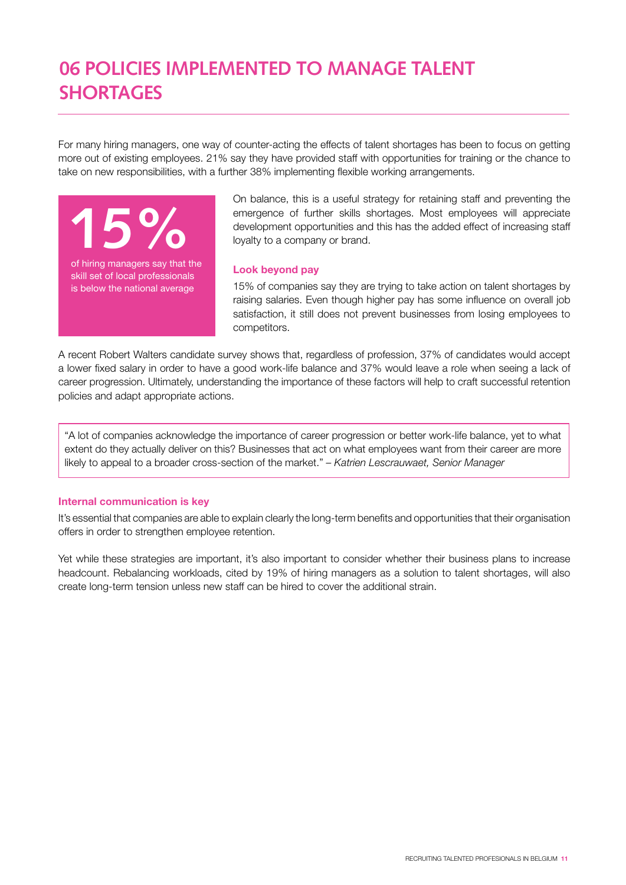## **06 POLICIES IMPLEMENTED TO MANAGE TALENT SHORTAGES**

For many hiring managers, one way of counter-acting the effects of talent shortages has been to focus on getting more out of existing employees. 21% say they have provided staff with opportunities for training or the chance to take on new responsibilities, with a further 38% implementing flexible working arrangements.



On balance, this is a useful strategy for retaining staff and preventing the emergence of further skills shortages. Most employees will appreciate development opportunities and this has the added effect of increasing staff loyalty to a company or brand.

#### **Look beyond pay**

15% of companies say they are trying to take action on talent shortages by raising salaries. Even though higher pay has some influence on overall job satisfaction, it still does not prevent businesses from losing employees to competitors.

A recent Robert Walters candidate survey shows that, regardless of profession, 37% of candidates would accept a lower fixed salary in order to have a good work-life balance and 37% would leave a role when seeing a lack of career progression. Ultimately, understanding the importance of these factors will help to craft successful retention policies and adapt appropriate actions.

"A lot of companies acknowledge the importance of career progression or better work-life balance, yet to what extent do they actually deliver on this? Businesses that act on what employees want from their career are more likely to appeal to a broader cross-section of the market." *– Katrien Lescrauwaet, Senior Manager*

#### **Internal communication is key**

It's essential that companies are able to explain clearly the long-term benefits and opportunities that their organisation offers in order to strengthen employee retention.

Yet while these strategies are important, it's also important to consider whether their business plans to increase headcount. Rebalancing workloads, cited by 19% of hiring managers as a solution to talent shortages, will also create long-term tension unless new staff can be hired to cover the additional strain.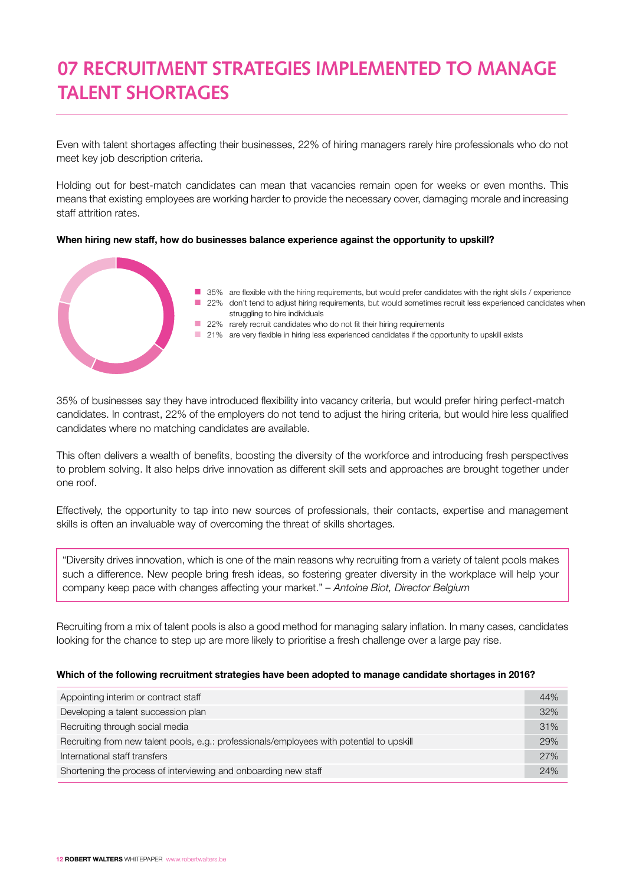## **07 RECRUITMENT STRATEGIES IMPLEMENTED TO MANAGE TALENT SHORTAGES**

Even with talent shortages affecting their businesses, 22% of hiring managers rarely hire professionals who do not meet key job description criteria.

Holding out for best-match candidates can mean that vacancies remain open for weeks or even months. This means that existing employees are working harder to provide the necessary cover, damaging morale and increasing staff attrition rates.

#### **When hiring new staff, how do businesses balance experience against the opportunity to upskill?**



- 35% are flexible with the hiring requirements, but would prefer candidates with the right skills / experience
- 22% don't tend to adjust hiring requirements, but would sometimes recruit less experienced candidates when struggling to hire individuals
- **n** 22% rarely recruit candidates who do not fit their hiring requirements
- **n** 21% are very flexible in hiring less experienced candidates if the opportunity to upskill exists

35% of businesses say they have introduced flexibility into vacancy criteria, but would prefer hiring perfect-match candidates. In contrast, 22% of the employers do not tend to adjust the hiring criteria, but would hire less qualified candidates where no matching candidates are available.

This often delivers a wealth of benefits, boosting the diversity of the workforce and introducing fresh perspectives to problem solving. It also helps drive innovation as different skill sets and approaches are brought together under one roof.

Effectively, the opportunity to tap into new sources of professionals, their contacts, expertise and management skills is often an invaluable way of overcoming the threat of skills shortages.

"Diversity drives innovation, which is one of the main reasons why recruiting from a variety of talent pools makes such a difference. New people bring fresh ideas, so fostering greater diversity in the workplace will help your company keep pace with changes affecting your market." *– Antoine Biot, Director Belgium*

Recruiting from a mix of talent pools is also a good method for managing salary inflation. In many cases, candidates looking for the chance to step up are more likely to prioritise a fresh challenge over a large pay rise.

#### **Which of the following recruitment strategies have been adopted to manage candidate shortages in 2016?**

| Appointing interim or contract staff                                                      | 44% |
|-------------------------------------------------------------------------------------------|-----|
| Developing a talent succession plan                                                       | 32% |
| Recruiting through social media                                                           | 31% |
| Recruiting from new talent pools, e.g.: professionals/employees with potential to upskill | 29% |
| International staff transfers                                                             |     |
| Shortening the process of interviewing and onboarding new staff                           |     |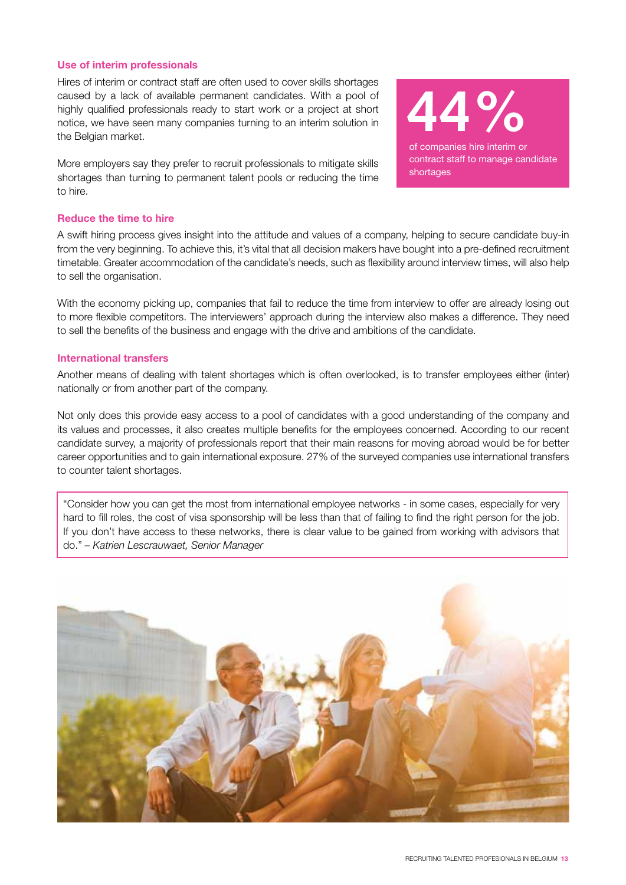#### **Use of interim professionals**

Hires of interim or contract staff are often used to cover skills shortages caused by a lack of available permanent candidates. With a pool of highly qualified professionals ready to start work or a project at short notice, we have seen many companies turning to an interim solution in the Belgian market.

More employers say they prefer to recruit professionals to mitigate skills shortages than turning to permanent talent pools or reducing the time to hire.

## **44%**

of companies hire interim or contract staff to manage candidate shortages

#### **Reduce the time to hire**

A swift hiring process gives insight into the attitude and values of a company, helping to secure candidate buy-in from the very beginning. To achieve this, it's vital that all decision makers have bought into a pre-defined recruitment timetable. Greater accommodation of the candidate's needs, such as flexibility around interview times, will also help to sell the organisation.

With the economy picking up, companies that fail to reduce the time from interview to offer are already losing out to more flexible competitors. The interviewers' approach during the interview also makes a difference. They need to sell the benefits of the business and engage with the drive and ambitions of the candidate.

#### **International transfers**

Another means of dealing with talent shortages which is often overlooked, is to transfer employees either (inter) nationally or from another part of the company.

Not only does this provide easy access to a pool of candidates with a good understanding of the company and its values and processes, it also creates multiple benefits for the employees concerned. According to our recent candidate survey, a majority of professionals report that their main reasons for moving abroad would be for better career opportunities and to gain international exposure. 27% of the surveyed companies use international transfers to counter talent shortages.

"Consider how you can get the most from international employee networks - in some cases, especially for very hard to fill roles, the cost of visa sponsorship will be less than that of failing to find the right person for the job. If you don't have access to these networks, there is clear value to be gained from working with advisors that do." *– Katrien Lescrauwaet, Senior Manager*

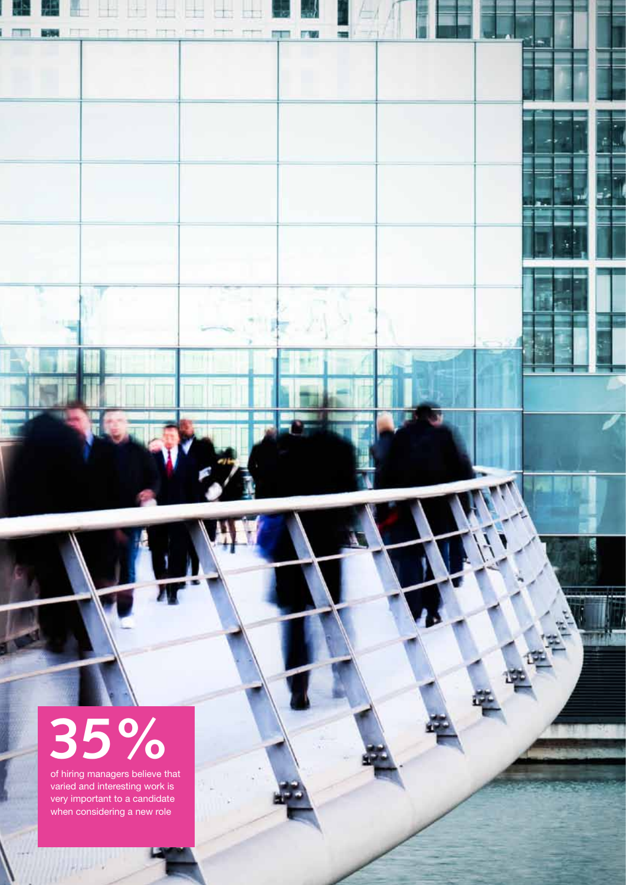# **35%**

of hiring managers believe that varied and interesting work is very important to a candidate when considering a new role

**10 ROBERT WALTERS** WHITEPAPERwww.robertwalters.com

 $+ + +$ 

前田

 $742$ 

÷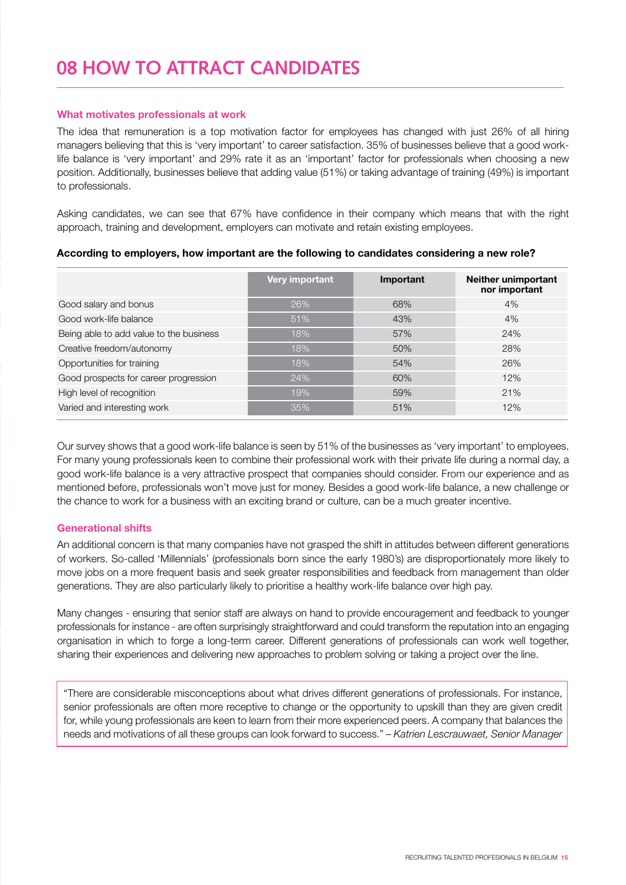#### **What motivates professionals at work**

The idea that remuneration is a top motivation factor for employees has changed with just 26% of all hiring managers believing that this is 'very important' to career satisfaction. 35% of businesses believe that a good worklife balance is 'very important' and 29% rate it as an 'important' factor for professionals when choosing a new position. Additionally, businesses believe that adding value (51%) or taking advantage of training (49%) is important to professionals.

Asking candidates, we can see that 67% have confidence in their company which means that with the right approach, training and development, employers can motivate and retain existing employees.

| Very important | Important | <b>Neither unimportant</b><br>nor important |
|----------------|-----------|---------------------------------------------|
| 26%            | 68%       | 4%                                          |
| 51%            | 43%       | 4%                                          |
| 18%            | 57%       | 24%                                         |
| 18%            | 50%       | 28%                                         |
| 18%            | 54%       | 26%                                         |
| 24%            | 60%       | 12%                                         |
| 19%            | 59%       | 21%                                         |
| 35%            | 51%       | 12%                                         |
|                |           |                                             |

#### **According to employers, how important are the following to candidates considering a new role?**

Our survey shows that a good work-life balance is seen by 51% of the businesses as 'very important' to employees. For many young professionals keen to combine their professional work with their private life during a normal day, a good work-life balance is a very attractive prospect that companies should consider. From our experience and as mentioned before, professionals won't move just for money. Besides a good work-life balance, a new challenge or the chance to work for a business with an exciting brand or culture, can be a much greater incentive.

#### **Generational shifts**

An additional concern is that many companies have not grasped the shift in attitudes between different generations of workers. So-called 'Millennials' (professionals born since the early 1980's) are disproportionately more likely to move jobs on a more frequent basis and seek greater responsibilities and feedback from management than older generations. They are also particularly likely to prioritise a healthy work-life balance over high pay.

Many changes - ensuring that senior staff are always on hand to provide encouragement and feedback to younger professionals for instance - are often surprisingly straightforward and could transform the reputation into an engaging organisation in which to forge a long-term career. Different generations of professionals can work well together, sharing their experiences and delivering new approaches to problem solving or taking a project over the line.

"There are considerable misconceptions about what drives different generations of professionals. For instance, senior professionals are often more receptive to change or the opportunity to upskill than they are given credit for, while young professionals are keen to learn from their more experienced peers. A company that balances the needs and motivations of all these groups can look forward to success." *– Katrien Lescrauwaet, Senior Manager*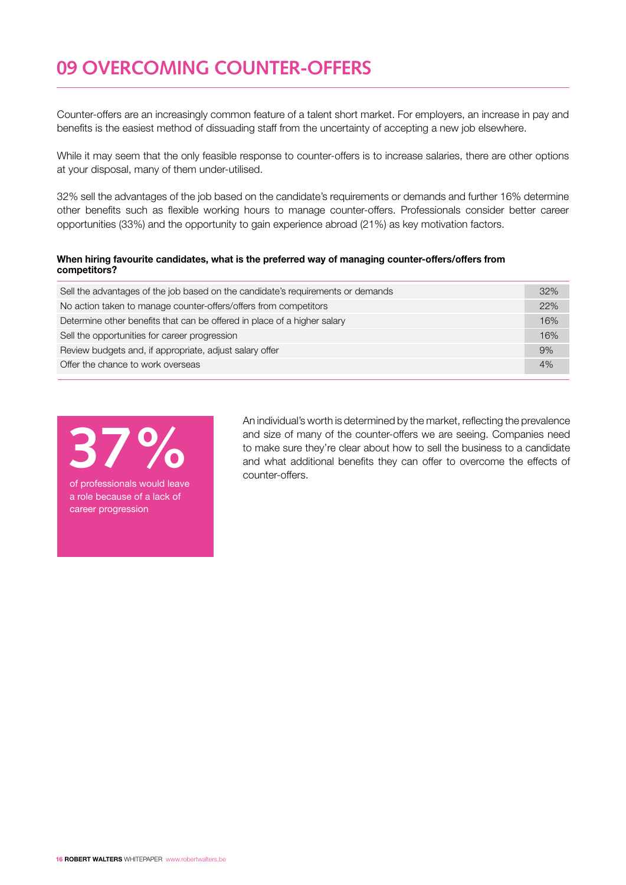## **09 OVERCOMING COUNTER-OFFERS**

Counter-offers are an increasingly common feature of a talent short market. For employers, an increase in pay and benefits is the easiest method of dissuading staff from the uncertainty of accepting a new job elsewhere.

While it may seem that the only feasible response to counter-offers is to increase salaries, there are other options at your disposal, many of them under-utilised.

32% sell the advantages of the job based on the candidate's requirements or demands and further 16% determine other benefits such as flexible working hours to manage counter-offers. Professionals consider better career opportunities (33%) and the opportunity to gain experience abroad (21%) as key motivation factors.

#### **When hiring favourite candidates, what is the preferred way of managing counter-offers/offers from competitors?**

| Sell the advantages of the job based on the candidate's requirements or demands |     |  |
|---------------------------------------------------------------------------------|-----|--|
| No action taken to manage counter-offers/offers from competitors                |     |  |
| Determine other benefits that can be offered in place of a higher salary        | 16% |  |
| Sell the opportunities for career progression                                   |     |  |
| Review budgets and, if appropriate, adjust salary offer                         |     |  |
| Offer the chance to work overseas                                               | 4%  |  |

of professionals would leave a role because of a lack of **37%**

career progression

An individual's worth is determined by the market, reflecting the prevalence and size of many of the counter-offers we are seeing. Companies need to make sure they're clear about how to sell the business to a candidate and what additional benefits they can offer to overcome the effects of counter-offers.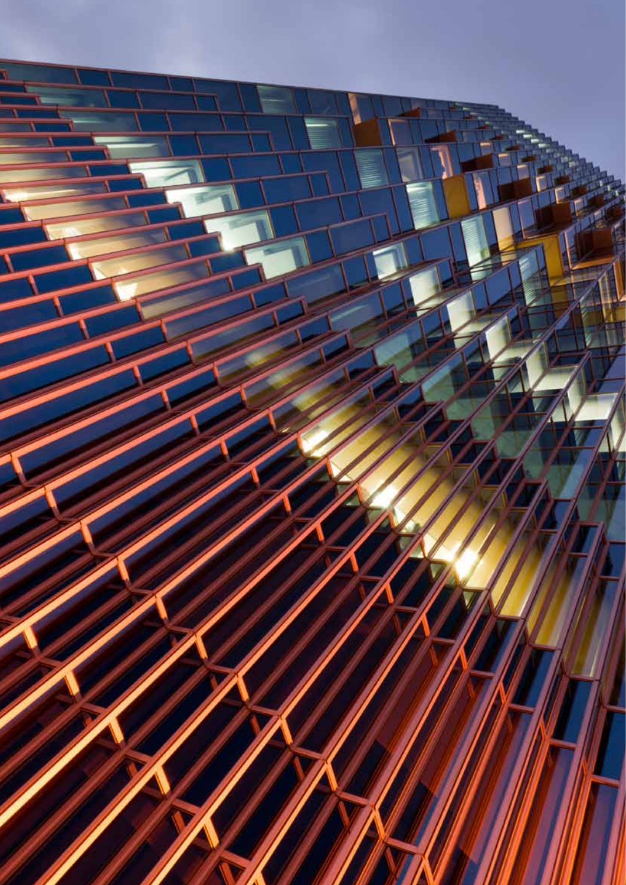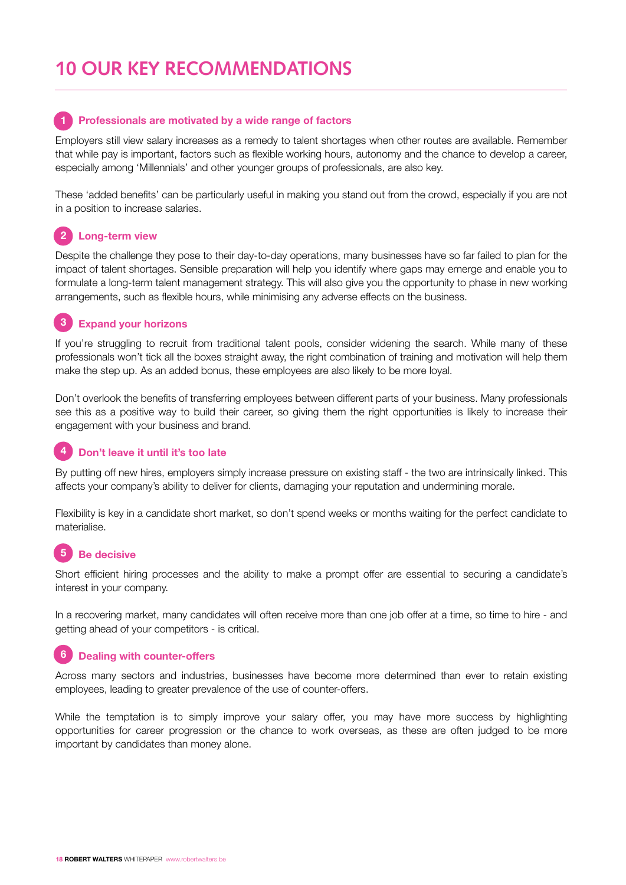## **10 OUR KEY RECOMMENDATIONS**

#### **Professionals are motivated by a wide range of factors 1**

Employers still view salary increases as a remedy to talent shortages when other routes are available. Remember that while pay is important, factors such as flexible working hours, autonomy and the chance to develop a career, especially among 'Millennials' and other younger groups of professionals, are also key.

These 'added benefits' can be particularly useful in making you stand out from the crowd, especially if you are not in a position to increase salaries.

#### **Long-term view 2**

Despite the challenge they pose to their day-to-day operations, many businesses have so far failed to plan for the impact of talent shortages. Sensible preparation will help you identify where gaps may emerge and enable you to formulate a long-term talent management strategy. This will also give you the opportunity to phase in new working arrangements, such as flexible hours, while minimising any adverse effects on the business.

#### **Expand your horizons 3**

If you're struggling to recruit from traditional talent pools, consider widening the search. While many of these professionals won't tick all the boxes straight away, the right combination of training and motivation will help them make the step up. As an added bonus, these employees are also likely to be more loyal.

Don't overlook the benefits of transferring employees between different parts of your business. Many professionals see this as a positive way to build their career, so giving them the right opportunities is likely to increase their engagement with your business and brand.

#### **Don't leave it until it's too late 4**

By putting off new hires, employers simply increase pressure on existing staff - the two are intrinsically linked. This affects your company's ability to deliver for clients, damaging your reputation and undermining morale.

Flexibility is key in a candidate short market, so don't spend weeks or months waiting for the perfect candidate to materialise.

#### **Be decisive 5**

Short efficient hiring processes and the ability to make a prompt offer are essential to securing a candidate's interest in your company.

In a recovering market, many candidates will often receive more than one job offer at a time, so time to hire - and getting ahead of your competitors - is critical.

#### **Dealing with counter-offers 6**

Across many sectors and industries, businesses have become more determined than ever to retain existing employees, leading to greater prevalence of the use of counter-offers.

While the temptation is to simply improve your salary offer, you may have more success by highlighting opportunities for career progression or the chance to work overseas, as these are often judged to be more important by candidates than money alone.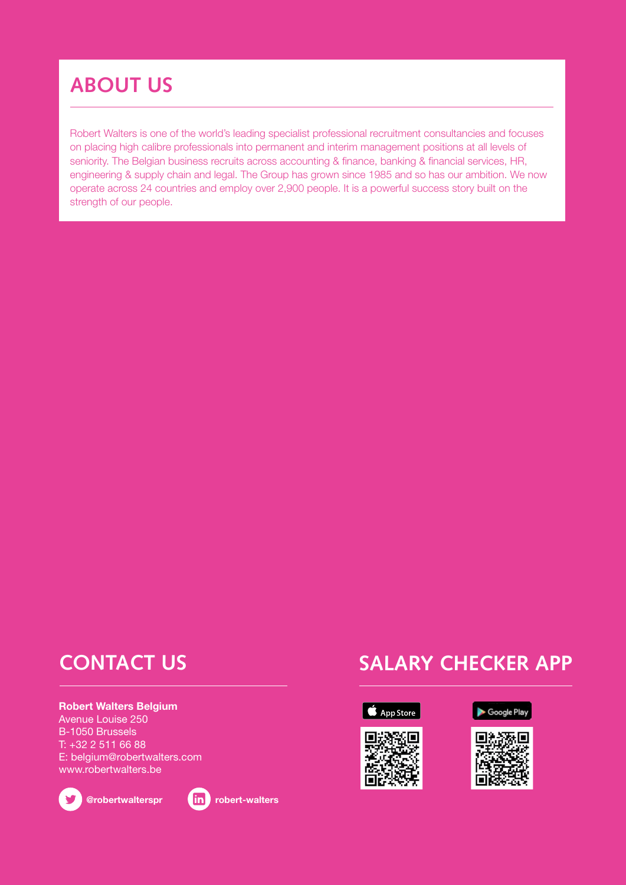## **ABOUT US**

Robert Walters is one of the world's leading specialist professional recruitment consultancies and focuses on placing high calibre professionals into permanent and interim management positions at all levels of seniority. The Belgian business recruits across accounting & finance, banking & financial services, HR, engineering & supply chain and legal. The Group has grown since 1985 and so has our ambition. We now operate across 24 countries and employ over 2,900 people. It is a powerful success story built on the strength of our people.



**Robert Walters Belgium** Avenue Louise 250 B-1050 Brussels T: +32 2 511 66 88 E: belgium@robertwalters.com www.robertwalters.be







### **CONTACT US SALARY CHECKER APP**